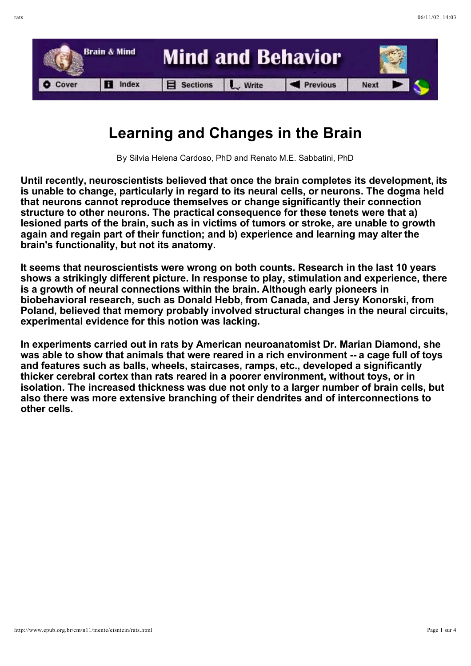

## **Learning and Changes in the Brain**

By Silvia Helena Cardoso, PhD and Renato M.E. Sabbatini, PhD

**Until recently, neuroscientists believed that once the brain completes its development, its is unable to change, particularly in regard to its neural cells, or neurons. The dogma held that neurons cannot reproduce themselves or change significantly their connection structure to other neurons. The practical consequence for these tenets were that a) lesioned parts of the brain, such as in victims of tumors or stroke, are unable to growth again and regain part of their function; and b) experience and learning may alter the brain's functionality, but not its anatomy.**

**It seems that neuroscientists were wrong on both counts. Research in the last 10 years shows a strikingly different picture. In response to play, stimulation and experience, there is a growth of neural connections within the brain. Although early pioneers in biobehavioral research, such as Donald Hebb, from Canada, and Jersy Konorski, from Poland, believed that memory probably involved structural changes in the neural circuits, experimental evidence for this notion was lacking.**

**In experiments carried out in rats by American neuroanatomist Dr. Marian Diamond, she was able to show that animals that were reared in a rich environment -- a cage full of toys and features such as balls, wheels, staircases, ramps, etc., developed a significantly thicker cerebral cortex than rats reared in a poorer environment, without toys, or in isolation. The increased thickness was due not only to a larger number of brain cells, but also there was more extensive branching of their dendrites and of interconnections to other cells.**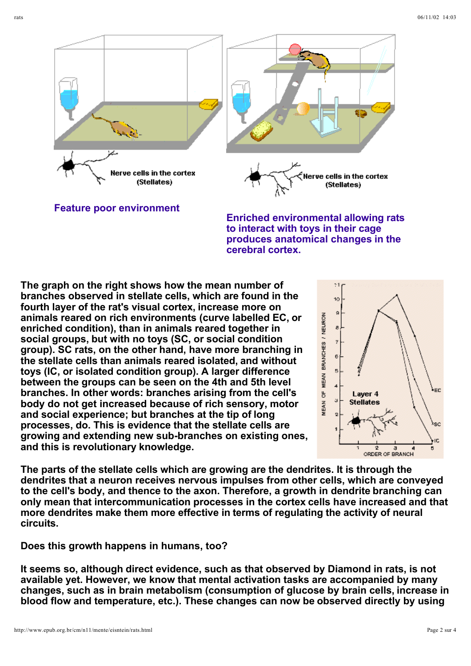

**Feature poor environment**

**Enriched environmental allowing rats to interact with toys in their cage produces anatomical changes in the cerebral cortex.** 

**The graph on the right shows how the mean number of branches observed in stellate cells, which are found in the fourth layer of the rat's visual cortex, increase more on animals reared on rich environments (curve labelled EC, or enriched condition), than in animals reared together in social groups, but with no toys (SC, or social condition group). SC rats, on the other hand, have more branching in the stellate cells than animals reared isolated, and without toys (IC, or isolated condition group). A larger difference between the groups can be seen on the 4th and 5th level branches. In other words: branches arising from the cell's body do not get increased because of rich sensory, motor and social experience; but branches at the tip of long processes, do. This is evidence that the stellate cells are growing and extending new sub-branches on existing ones, and this is revolutionary knowledge.**



**The parts of the stellate cells which are growing are the dendrites. It is through the dendrites that a neuron receives nervous impulses from other cells, which are conveyed to the cell's body, and thence to the axon. Therefore, a growth in dendrite branching can only mean that intercommunication processes in the cortex cells have increased and that more dendrites make them more effective in terms of regulating the activity of neural circuits.**

**Does this growth happens in humans, too?**

**It seems so, although direct evidence, such as that observed by Diamond in rats, is not available yet. However, we know that mental activation tasks are accompanied by many changes, such as in brain metabolism (consumption of glucose by brain cells, increase in blood flow and temperature, etc.). These changes can now be observed directly by using**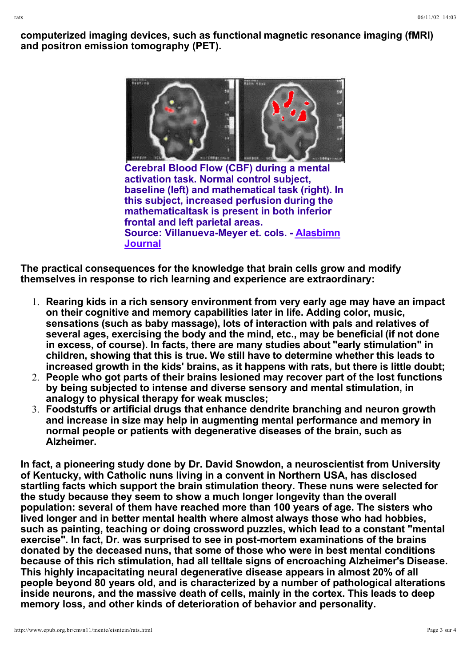**computerized imaging devices, such as functional magnetic resonance imaging (fMRI) and positron emission tomography (PET).**

narmes<br>Materiae

**Cerebral Blood Flow (CBF) during a mental activation task. Normal control subject, baseline (left) and mathematical task (right). In this subject, increased perfusion during the mathematicaltask is present in both inferior frontal and left parietal areas. Source: Villanueva-Meyer et. cols. - Alasbimn Journal**

**The practical consequences for the knowledge that brain cells grow and modify themselves in response to rich learning and experience are extraordinary:**

- 1. **Rearing kids in a rich sensory environment from very early age may have an impact on their cognitive and memory capabilities later in life. Adding color, music, sensations (such as baby massage), lots of interaction with pals and relatives of several ages, exercising the body and the mind, etc., may be beneficial (if not done in excess, of course). In facts, there are many studies about "early stimulation" in children, showing that this is true. We still have to determine whether this leads to increased growth in the kids' brains, as it happens with rats, but there is little doubt;**
- 2. **People who got parts of their brains lesioned may recover part of the lost functions by being subjected to intense and diverse sensory and mental stimulation, in analogy to physical therapy for weak muscles;**
- 3. **Foodstuffs or artificial drugs that enhance dendrite branching and neuron growth and increase in size may help in augmenting mental performance and memory in normal people or patients with degenerative diseases of the brain, such as Alzheimer.**

**In fact, a pioneering study done by Dr. David Snowdon, a neuroscientist from University of Kentucky, with Catholic nuns living in a convent in Northern USA, has disclosed startling facts which support the brain stimulation theory. These nuns were selected for the study because they seem to show a much longer longevity than the overall population: several of them have reached more than 100 years of age. The sisters who lived longer and in better mental health where almost always those who had hobbies, such as painting, teaching or doing crossword puzzles, which lead to a constant "mental exercise". In fact, Dr. was surprised to see in post-mortem examinations of the brains donated by the deceased nuns, that some of those who were in best mental conditions because of this rich stimulation, had all telltale signs of encroaching Alzheimer's Disease. This highly incapacitating neural degenerative disease appears in almost 20% of all people beyond 80 years old, and is characterized by a number of pathological alterations inside neurons, and the massive death of cells, mainly in the cortex. This leads to deep memory loss, and other kinds of deterioration of behavior and personality.**